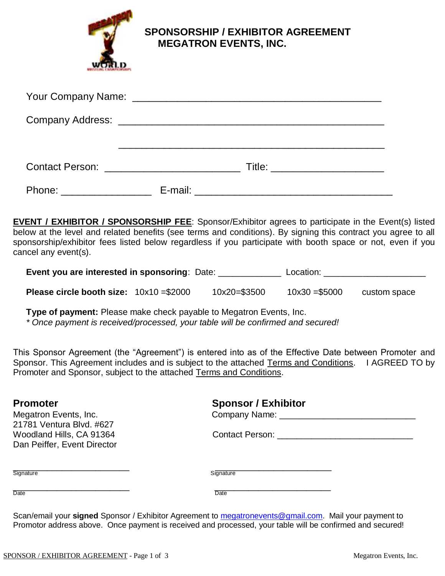

 **SPONSORSHIP / EXHIBITOR AGREEMENT MEGATRON EVENTS, INC.**

|                         |  | Title: __________________________ |
|-------------------------|--|-----------------------------------|
| Phone: ________________ |  |                                   |

**EVENT / EXHIBITOR / SPONSORSHIP FEE**: Sponsor/Exhibitor agrees to participate in the Event(s) listed below at the level and related benefits (see terms and conditions). By signing this contract you agree to all sponsorship/exhibitor fees listed below regardless if you participate with booth space or not, even if you cancel any event(s).

**Event you are interested in sponsoring**: Date: \_\_\_\_\_\_\_\_\_\_\_\_\_ Location: \_\_\_\_\_\_\_\_\_\_\_\_\_\_\_\_\_\_\_\_\_

| <b>Please circle booth size:</b> $10x10 = $2000$ |  | 10x20=\$3500 | $10x30 = $5000$ | custom space |
|--------------------------------------------------|--|--------------|-----------------|--------------|
|--------------------------------------------------|--|--------------|-----------------|--------------|

**Type of payment:** Please make check payable to Megatron Events, Inc.

*\* Once payment is received/processed, your table will be confirmed and secured!*

This Sponsor Agreement (the "Agreement") is entered into as of the Effective Date between Promoter and Sponsor. This Agreement includes and is subject to the attached Terms and Conditions. I AGREED TO by Promoter and Sponsor, subject to the attached Terms and Conditions.

| <b>Promoter</b>                                         | <b>Sponsor / Exhibitor</b>             |  |
|---------------------------------------------------------|----------------------------------------|--|
| Megatron Events, Inc.<br>21781 Ventura Blvd. #627       | Company Name: ________________________ |  |
| Woodland Hills, CA 91364<br>Dan Peiffer, Event Director | Contact Person: The Contact Person:    |  |
| Signature                                               | Signature                              |  |
| Date                                                    | Date                                   |  |

Scan/email your **signed** Sponsor / Exhibitor Agreement to [megatronevents@gmail.com.](mailto:megatronevents@gmail.com) Mail your payment to Promotor address above. Once payment is received and processed, your table will be confirmed and secured!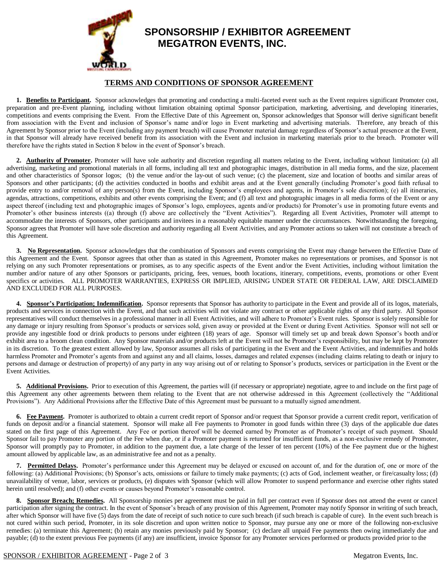

## **SPONSORSHIP / EXHIBITOR AGREEMENT MEGATRON EVENTS, INC.**

## **TERMS AND CONDITIONS OF SPONSOR AGREEMENT**

1. Benefits to Participant. Sponsor acknowledges that promoting and conducting a multi-faceted event such as the Event requires significant Promoter cost, preparation and pre-Event planning, including without limitation obtaining optimal Sponsor participation, marketing, advertising, and developing itineraries, competitions and events comprising the Event. From the Effective Date of this Agreement on, Sponsor acknowledges that Sponsor will derive significant benefit from association with the Event and inclusion of Sponsor's name and/or logo in Event marketing and advertising materials. Therefore, any breach of this Agreement by Sponsor prior to the Event (including any payment breach) will cause Promoter material damage regardless of Sponsor's actual presence at the Event, in that Sponsor will already have received benefit from its association with the Event and inclusion in marketing materials prior to the breach. Promoter will therefore have the rights stated in Section 8 below in the event of Sponsor's breach.

2. **Authority of Promoter**. Promoter will have sole authority and discretion regarding all matters relating to the Event, including without limitation: (a) all advertising, marketing and promotional materials in all forms, including all text and photographic images, distribution in all media forms, and the size, placement and other characteristics of Sponsor logos; (b) the venue and/or the lay-out of such venue; (c) the placement, size and location of booths and similar areas of Sponsors and other participants; (d) the activities conducted in booths and exhibit areas and at the Event generally (including Promoter's good faith refusal to provide entry to and/or removal of any person(s) from the Event, including Sponsor's employees and agents, in Promoter's sole discretion); (e) all itineraries, agendas, attractions, competitions, exhibits and other events comprising the Event; and (f) all text and photographic images in all media forms of the Event or any aspect thereof (including text and photographic images of Sponsor's logo, employees, agents and/or products) for Promoter's use in promoting future events and Promoter's other business interests ((a) through (f) above are collectively the "Event Activities"). Regarding all Event Activities, Promoter will attempt to accommodate the interests of Sponsors, other participants and invitees in a reasonably equitable manner under the circumstances. Notwithstanding the foregoing, Sponsor agrees that Promoter will have sole discretion and authority regarding all Event Activities, and any Promoter actions so taken will not constitute a breach of this Agreement.

3. No Representation. Sponsor acknowledges that the combination of Sponsors and events comprising the Event may change between the Effective Date of this Agreement and the Event. Sponsor agrees that other than as stated in this Agreement, Promoter makes no representations or promises, and Sponsor is not relying on any such Promoter representations or promises, as to any specific aspects of the Event and/or the Event Activities, including without limitation the number and/or nature of any other Sponsors or participants, pricing, fees, venues, booth locations, itinerary, competitions, events, promotions or other Event specifics or activities. ALL PROMOTER WARRANTIES, EXPRESS OR IMPLIED, ARISING UNDER STATE OR FEDERAL LAW, ARE DISCLAIMED AND EXCLUDED FOR ALL PURPOSES.

4. **Sponsor's Participation; Indemnification.** Sponsor represents that Sponsor has authority to participate in the Event and provide all of its logos, materials, products and services in connection with the Event, and that such activities will not violate any contract or other applicable rights of any third party. All Sponsor representatives will conduct themselves in a professional manner in all Event Activities, and will adhere to Promoter's Event rules. Sponsor is solely responsible for any damage or injury resulting from Sponsor's products or services sold, given away or provided at the Event or during Event Activities. Sponsor will not sell or provide any ingestible food or drink products to persons under eighteen (18) years of age. Sponsor will timely set up and break down Sponsor's booth and/or exhibit area to a broom clean condition. Any Sponsor materials and/or products left at the Event will not be Promoter's responsibility, but may be kept by Promoter in its discretion. To the greatest extent allowed by law, Sponsor assumes all risks of participating in the Event and the Event Activities, and indemnifies and holds harmless Promoter and Promoter's agents from and against any and all claims, losses, damages and related expenses (including claims relating to death or injury to persons and damage or destruction of property) of any party in any way arising out of or relating to Sponsor's products, services or participation in the Event or the Event Activities.

5. Additional Provisions. Prior to execution of this Agreement, the parties will (if necessary or appropriate) negotiate, agree to and include on the first page of this Agreement any other agreements between them relating to the Event that are not otherwise addressed in this Agreement (collectively the "Additional Provisions"). Any Additional Provisions after the Effective Date of this Agreement must be pursuant to a mutually signed amendment.

**6. Fee Payment.** Promoter is authorized to obtain a current credit report of Sponsor and/or request that Sponsor provide a current credit report, verification of funds on deposit and/or a financial statement. Sponsor will make all Fee payments to Promoter in good funds within three (3) days of the applicable due dates stated on the first page of this Agreement. Any Fee or portion thereof will be deemed earned by Promoter as of Promoter's receipt of such payment. Should Sponsor fail to pay Promoter any portion of the Fee when due, or if a Promoter payment is returned for insufficient funds, as a non-exclusive remedy of Promoter, Sponsor will promptly pay to Promoter, in addition to the payment due, a late charge of the lesser of ten percent (10%) of the Fee payment due or the highest amount allowed by applicable law, as an administrative fee and not as a penalty.

**7. Permitted Delays.** Promoter's performance under this Agreement may be delayed or excused on account of, and for the duration of, one or more of the following: (a) Additional Provisions; (b) Sponsor's acts, omissions or failure to timely make payments; (c) acts of God, inclement weather, or fire/casualty loss; (d) unavailability of venue, labor, services or products, (e) disputes with Sponsor (which will allow Promoter to suspend performance and exercise other rights stated herein until resolved); and (f) other events or causes beyond Promoter's reasonable control.

8. Sponsor Breach; Remedies. All Sponsorship monies per agreement must be paid in full per contract even if Sponsor does not attend the event or cancel participation after signing the contract. In the event of Sponsor's breach of any provision of this Agreement, Promoter may notify Sponsor in writing of such breach, after which Sponsor will have five (5) days from the date of receipt of such notice to cure such breach (if such breach is capable of cure). In the event such breach is not cured within such period, Promoter, in its sole discretion and upon written notice to Sponsor, may pursue any one or more of the following non-exclusive remedies: (a) terminate this Agreement; (b) retain any monies previously paid by Sponsor; (c) declare all unpaid Fee payments then owing immediately due and payable; (d) to the extent previous Fee payments (if any) are insufficient, invoice Sponsor for any Promoter services performed or products provided prior to the